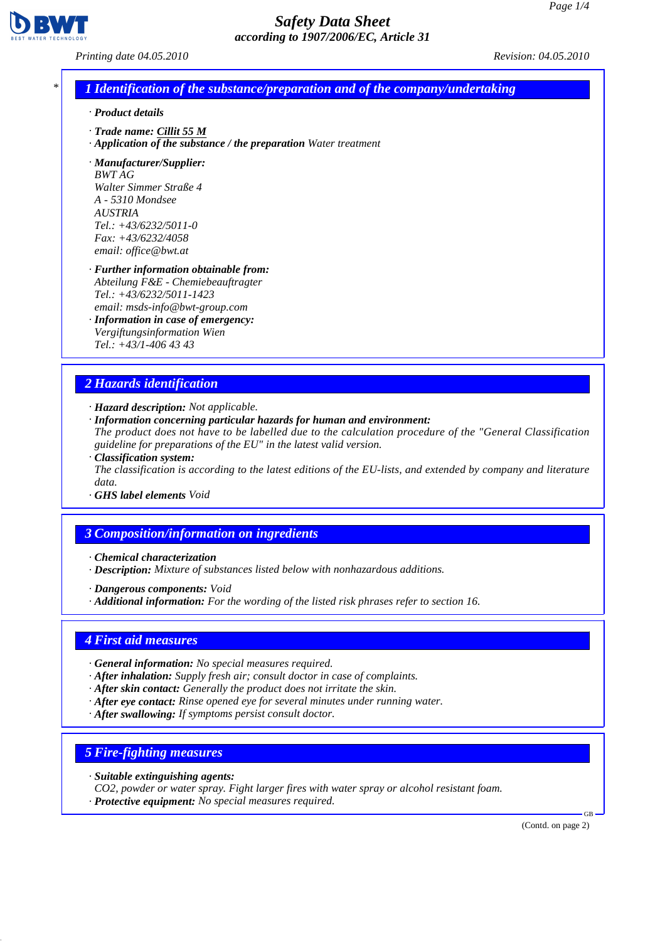

*Printing date 04.05.2010 Revision: 04.05.2010*

## *\* 1 Identification of the substance/preparation and of the company/undertaking*

- *· Product details*
- *· Trade name: Cillit 55 M*
- *· Application of the substance / the preparation Water treatment*

*· Manufacturer/Supplier: BWT AG Walter Simmer Straße 4 A - 5310 Mondsee AUSTRIA Tel.: +43/6232/5011-0 Fax: +43/6232/4058 email: office@bwt.at*

- *· Further information obtainable from: Abteilung F&E - Chemiebeauftragter Tel.: +43/6232/5011-1423 email: msds-info@bwt-group.com*
- *· Information in case of emergency: Vergiftungsinformation Wien Tel.: +43/1-406 43 43*

## *2 Hazards identification*

- *· Hazard description: Not applicable.*
- *· Information concerning particular hazards for human and environment:*
- *The product does not have to be labelled due to the calculation procedure of the "General Classification guideline for preparations of the EU" in the latest valid version.*
- *· Classification system: The classification is according to the latest editions of the EU-lists, and extended by company and literature data.*
- *· GHS label elements Void*

## *3 Composition/information on ingredients*

- *· Chemical characterization*
- *· Description: Mixture of substances listed below with nonhazardous additions.*
- *· Dangerous components: Void*
- *· Additional information: For the wording of the listed risk phrases refer to section 16.*

### *4 First aid measures*

- *· General information: No special measures required.*
- *· After inhalation: Supply fresh air; consult doctor in case of complaints.*
- *· After skin contact: Generally the product does not irritate the skin.*
- *· After eye contact: Rinse opened eye for several minutes under running water.*
- *· After swallowing: If symptoms persist consult doctor.*

## *5 Fire-fighting measures*

- *· Suitable extinguishing agents:*
- *CO2, powder or water spray. Fight larger fires with water spray or alcohol resistant foam.*
- *· Protective equipment: No special measures required.*

(Contd. on page 2)

GB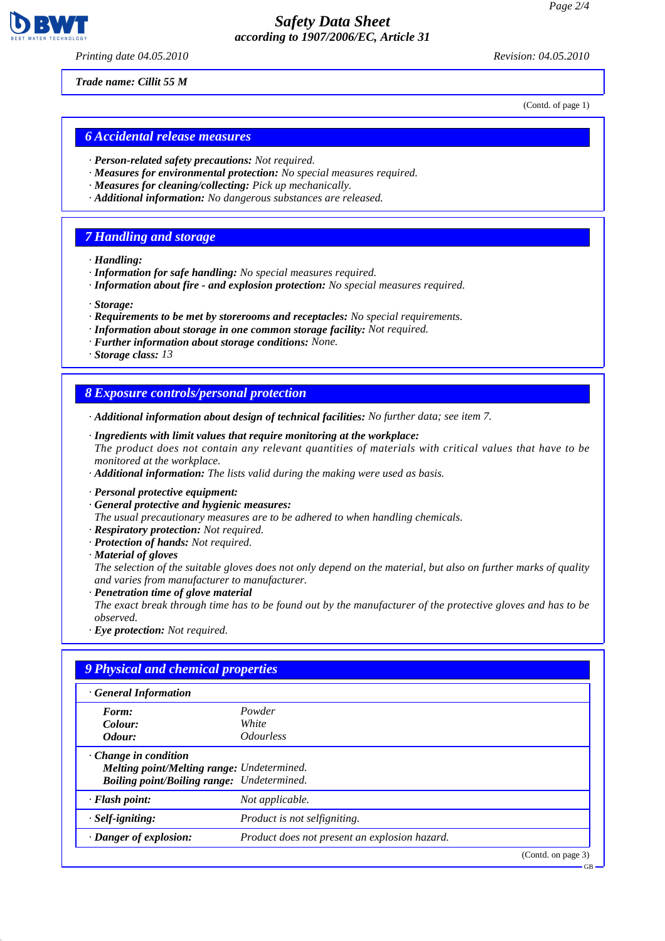

*Printing date 04.05.2010 Revision: 04.05.2010*

(Contd. of page 1)

*Trade name: Cillit 55 M*

### *6 Accidental release measures*

- *· Person-related safety precautions: Not required.*
- *· Measures for environmental protection: No special measures required.*
- *· Measures for cleaning/collecting: Pick up mechanically.*
- *· Additional information: No dangerous substances are released.*

### *7 Handling and storage*

- *· Handling:*
- *· Information for safe handling: No special measures required.*
- *· Information about fire and explosion protection: No special measures required.*

*· Storage:*

- *· Requirements to be met by storerooms and receptacles: No special requirements.*
- *· Information about storage in one common storage facility: Not required.*
- *· Further information about storage conditions: None.*
- *· Storage class: 13*

#### *8 Exposure controls/personal protection*

- *· Additional information about design of technical facilities: No further data; see item 7.*
- *· Ingredients with limit values that require monitoring at the workplace: The product does not contain any relevant quantities of materials with critical values that have to be monitored at the workplace.*
- *· Additional information: The lists valid during the making were used as basis.*
- *· Personal protective equipment:*
- *· General protective and hygienic measures:*

*The usual precautionary measures are to be adhered to when handling chemicals.*

- *· Respiratory protection: Not required.*
- *· Protection of hands: Not required.*

*· Material of gloves*

*The selection of the suitable gloves does not only depend on the material, but also on further marks of quality and varies from manufacturer to manufacturer.*

*· Penetration time of glove material The exact break through time has to be found out by the manufacturer of the protective gloves and has to be observed.*

*· Eye protection: Not required.*

| · General Information                             |                                               |  |
|---------------------------------------------------|-----------------------------------------------|--|
| Form:                                             | Powder                                        |  |
| Colour:                                           | White                                         |  |
| Odour:                                            | <i><b>Odourless</b></i>                       |  |
| $\cdot$ Change in condition                       |                                               |  |
| Melting point/Melting range: Undetermined.        |                                               |  |
| <b>Boiling point/Boiling range:</b> Undetermined. |                                               |  |
| $\cdot$ Flash point:                              | Not applicable.                               |  |
| $·$ <i>Self-igniting:</i>                         | Product is not selfigniting.                  |  |
| $\cdot$ Danger of explosion:                      | Product does not present an explosion hazard. |  |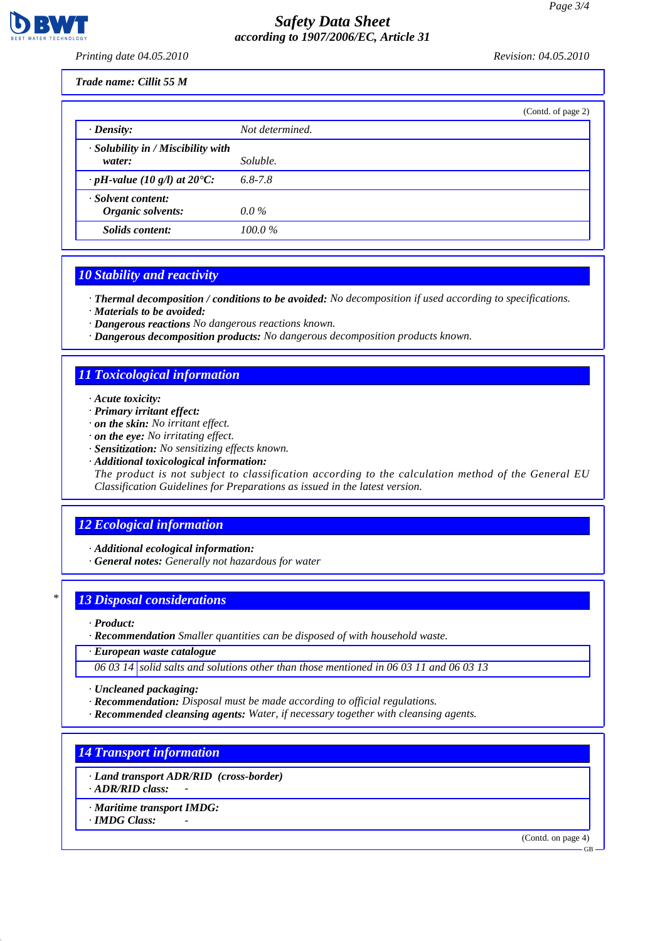*Printing date 04.05.2010 Revision: 04.05.2010*

#### *Trade name: Cillit 55 M*

|                                                    | (Contd. of page 2) |
|----------------------------------------------------|--------------------|
| $\cdot$ Density:                                   | Not determined.    |
| $\cdot$ Solubility in / Miscibility with<br>water: | Soluble.           |
| $\cdot$ pH-value (10 g/l) at 20°C:                 | $6.8 - 7.8$        |
| · Solvent content:<br>Organic solvents:            | $0.0\%$            |
| Solids content:                                    | $100.0\%$          |

### *10 Stability and reactivity*

*· Thermal decomposition / conditions to be avoided: No decomposition if used according to specifications. · Materials to be avoided:*

*· Dangerous reactions No dangerous reactions known.*

*· Dangerous decomposition products: No dangerous decomposition products known.*

## *11 Toxicological information*

- *· Acute toxicity:*
- *· Primary irritant effect:*
- *· on the skin: No irritant effect.*
- *· on the eye: No irritating effect.*
- *· Sensitization: No sensitizing effects known.*
- *· Additional toxicological information:*

*The product is not subject to classification according to the calculation method of the General EU Classification Guidelines for Preparations as issued in the latest version.*

## *12 Ecological information*

*· Additional ecological information:*

*· General notes: Generally not hazardous for water*

## *\* 13 Disposal considerations*

*· Product:*

*· Recommendation Smaller quantities can be disposed of with household waste.*

*· European waste catalogue*

*06 03 14 solid salts and solutions other than those mentioned in 06 03 11 and 06 03 13*

- *· Uncleaned packaging:*
- *· Recommendation: Disposal must be made according to official regulations.*
- *· Recommended cleansing agents: Water, if necessary together with cleansing agents.*

*14 Transport information*

*· Land transport ADR/RID (cross-border)*

*· ADR/RID class: -* 

*· Maritime transport IMDG:*

*· IMDG Class: -* 

(Contd. on page 4)

GB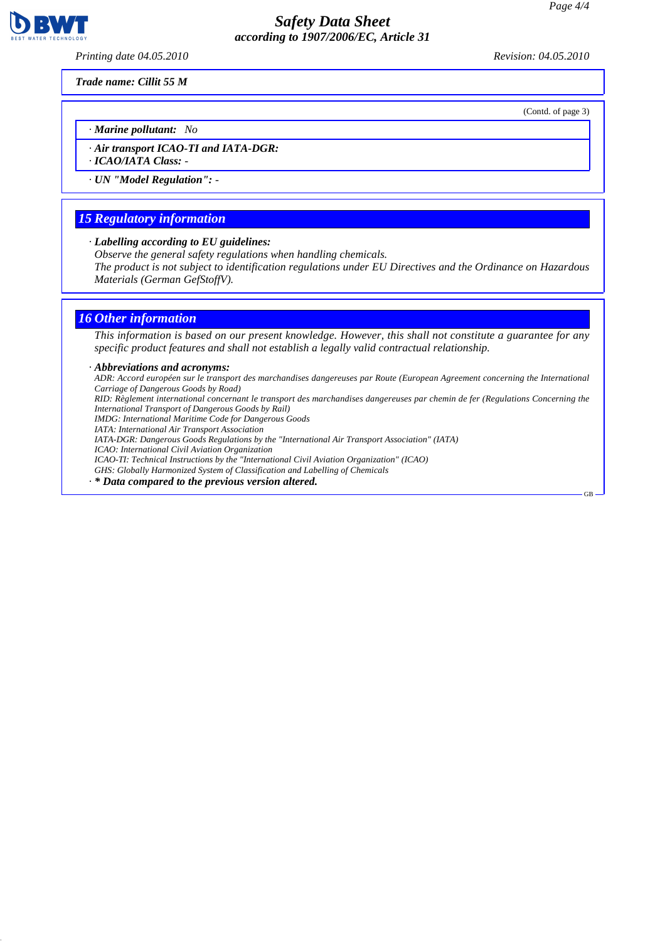*Printing date 04.05.2010 Revision: 04.05.2010*

(Contd. of page 3)

GB

*Trade name: Cillit 55 M*

*· Marine pollutant: No*

*· Air transport ICAO-TI and IATA-DGR:*

*· ICAO/IATA Class: -* 

*· UN "Model Regulation": -* 

### *15 Regulatory information*

*· Labelling according to EU guidelines:*

*Observe the general safety regulations when handling chemicals.*

*The product is not subject to identification regulations under EU Directives and the Ordinance on Hazardous Materials (German GefStoffV).*

### *16 Other information*

*This information is based on our present knowledge. However, this shall not constitute a guarantee for any specific product features and shall not establish a legally valid contractual relationship.*

#### *· Abbreviations and acronyms:*

*ADR: Accord européen sur le transport des marchandises dangereuses par Route (European Agreement concerning the International Carriage of Dangerous Goods by Road) RID: Règlement international concernant le transport des marchandises dangereuses par chemin de fer (Regulations Concerning the International Transport of Dangerous Goods by Rail) IMDG: International Maritime Code for Dangerous Goods IATA: International Air Transport Association IATA-DGR: Dangerous Goods Regulations by the "International Air Transport Association" (IATA) ICAO: International Civil Aviation Organization ICAO-TI: Technical Instructions by the "International Civil Aviation Organization" (ICAO) GHS: Globally Harmonized System of Classification and Labelling of Chemicals · \* Data compared to the previous version altered.*